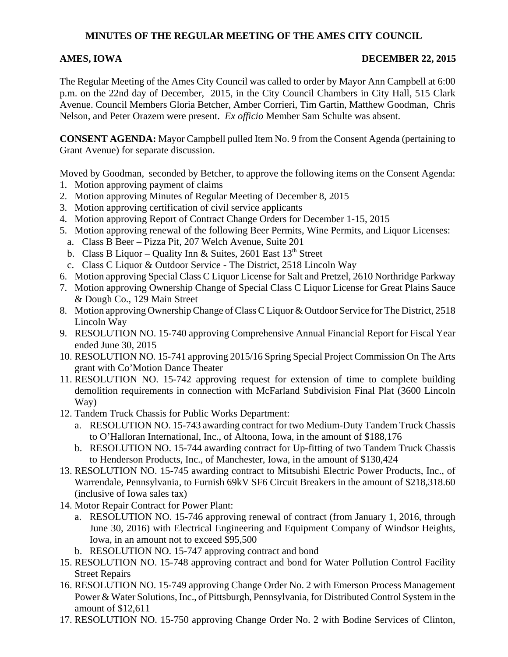# **MINUTES OF THE REGULAR MEETING OF THE AMES CITY COUNCIL**

### AMES, IOWA DECEMBER 22, 2015

The Regular Meeting of the Ames City Council was called to order by Mayor Ann Campbell at 6:00 p.m. on the 22nd day of December, 2015, in the City Council Chambers in City Hall, 515 Clark Avenue. Council Members Gloria Betcher, Amber Corrieri, Tim Gartin, Matthew Goodman, Chris Nelson, and Peter Orazem were present. *Ex officio* Member Sam Schulte was absent.

**CONSENT AGENDA:** Mayor Campbell pulled Item No. 9 from the Consent Agenda (pertaining to Grant Avenue) for separate discussion.

Moved by Goodman, seconded by Betcher, to approve the following items on the Consent Agenda:

- 1. Motion approving payment of claims
- 2. Motion approving Minutes of Regular Meeting of December 8, 2015
- 3. Motion approving certification of civil service applicants
- 4. Motion approving Report of Contract Change Orders for December 1-15, 2015
- 5. Motion approving renewal of the following Beer Permits, Wine Permits, and Liquor Licenses:
- a. Class B Beer Pizza Pit, 207 Welch Avenue, Suite 201
- b. Class B Liquor Quality Inn & Suites, 2601 East  $13<sup>th</sup>$  Street
- c. Class C Liquor & Outdoor Service The District, 2518 Lincoln Way
- 6. Motion approving Special Class C Liquor License for Salt and Pretzel, 2610 Northridge Parkway
- 7. Motion approving Ownership Change of Special Class C Liquor License for Great Plains Sauce & Dough Co., 129 Main Street
- 8. Motion approving Ownership Change of Class C Liquor & Outdoor Service for The District, 2518 Lincoln Way
- 9. RESOLUTION NO. 15-740 approving Comprehensive Annual Financial Report for Fiscal Year ended June 30, 2015
- 10. RESOLUTION NO. 15-741 approving 2015/16 Spring Special Project Commission On The Arts grant with Co'Motion Dance Theater
- 11. RESOLUTION NO. 15-742 approving request for extension of time to complete building demolition requirements in connection with McFarland Subdivision Final Plat (3600 Lincoln Way)
- 12. Tandem Truck Chassis for Public Works Department:
	- a. RESOLUTION NO. 15-743 awarding contract for two Medium-Duty Tandem Truck Chassis to O'Halloran International, Inc., of Altoona, Iowa, in the amount of \$188,176
	- b. RESOLUTION NO. 15-744 awarding contract for Up-fitting of two Tandem Truck Chassis to Henderson Products, Inc., of Manchester, Iowa, in the amount of \$130,424
- 13. RESOLUTION NO. 15-745 awarding contract to Mitsubishi Electric Power Products, Inc., of Warrendale, Pennsylvania, to Furnish 69kV SF6 Circuit Breakers in the amount of \$218,318.60 (inclusive of Iowa sales tax)
- 14. Motor Repair Contract for Power Plant:
	- a. RESOLUTION NO. 15-746 approving renewal of contract (from January 1, 2016, through June 30, 2016) with Electrical Engineering and Equipment Company of Windsor Heights, Iowa, in an amount not to exceed \$95,500
	- b. RESOLUTION NO. 15-747 approving contract and bond
- 15. RESOLUTION NO. 15-748 approving contract and bond for Water Pollution Control Facility Street Repairs
- 16. RESOLUTION NO. 15-749 approving Change Order No. 2 with Emerson Process Management Power & Water Solutions, Inc., of Pittsburgh, Pennsylvania, for Distributed Control System in the amount of \$12,611
- 17. RESOLUTION NO. 15-750 approving Change Order No. 2 with Bodine Services of Clinton,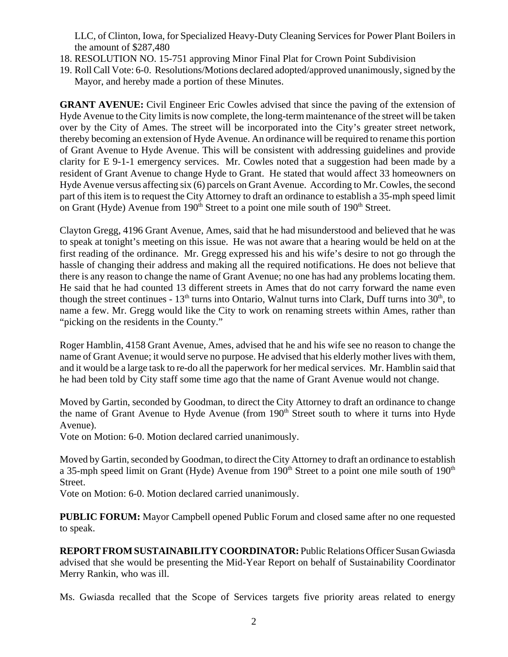LLC, of Clinton, Iowa, for Specialized Heavy-Duty Cleaning Services for Power Plant Boilers in the amount of \$287,480

- 18. RESOLUTION NO. 15-751 approving Minor Final Plat for Crown Point Subdivision
- 19. Roll Call Vote: 6-0. Resolutions/Motions declared adopted/approved unanimously, signed by the Mayor, and hereby made a portion of these Minutes.

**GRANT AVENUE:** Civil Engineer Eric Cowles advised that since the paving of the extension of Hyde Avenue to the City limits is now complete, the long-term maintenance of the street will be taken over by the City of Ames. The street will be incorporated into the City's greater street network, thereby becoming an extension of Hyde Avenue. An ordinance will be required to rename this portion of Grant Avenue to Hyde Avenue. This will be consistent with addressing guidelines and provide clarity for E 9-1-1 emergency services. Mr. Cowles noted that a suggestion had been made by a resident of Grant Avenue to change Hyde to Grant. He stated that would affect 33 homeowners on Hyde Avenue versus affecting six (6) parcels on Grant Avenue. According to Mr. Cowles, the second part of this item is to request the City Attorney to draft an ordinance to establish a 35-mph speed limit on Grant (Hyde) Avenue from  $190<sup>th</sup>$  Street to a point one mile south of  $190<sup>th</sup>$  Street.

Clayton Gregg, 4196 Grant Avenue, Ames, said that he had misunderstood and believed that he was to speak at tonight's meeting on this issue. He was not aware that a hearing would be held on at the first reading of the ordinance. Mr. Gregg expressed his and his wife's desire to not go through the hassle of changing their address and making all the required notifications. He does not believe that there is any reason to change the name of Grant Avenue; no one has had any problems locating them. He said that he had counted 13 different streets in Ames that do not carry forward the name even though the street continues -  $13<sup>th</sup>$  turns into Ontario, Walnut turns into Clark, Duff turns into  $30<sup>th</sup>$ , to name a few. Mr. Gregg would like the City to work on renaming streets within Ames, rather than "picking on the residents in the County."

Roger Hamblin, 4158 Grant Avenue, Ames, advised that he and his wife see no reason to change the name of Grant Avenue; it would serve no purpose. He advised that his elderly mother lives with them, and it would be a large task to re-do all the paperwork for her medical services. Mr. Hamblin said that he had been told by City staff some time ago that the name of Grant Avenue would not change.

Moved by Gartin, seconded by Goodman, to direct the City Attorney to draft an ordinance to change the name of Grant Avenue to Hyde Avenue (from 190<sup>th</sup> Street south to where it turns into Hyde Avenue).

Vote on Motion: 6-0. Motion declared carried unanimously.

Moved by Gartin, seconded by Goodman, to direct the City Attorney to draft an ordinance to establish a 35-mph speed limit on Grant (Hyde) Avenue from  $190<sup>th</sup>$  Street to a point one mile south of  $190<sup>th</sup>$ Street.

Vote on Motion: 6-0. Motion declared carried unanimously.

**PUBLIC FORUM:** Mayor Campbell opened Public Forum and closed same after no one requested to speak.

**REPORT FROM SUSTAINABILITY COORDINATOR:** Public Relations Officer Susan Gwiasda advised that she would be presenting the Mid-Year Report on behalf of Sustainability Coordinator Merry Rankin, who was ill.

Ms. Gwiasda recalled that the Scope of Services targets five priority areas related to energy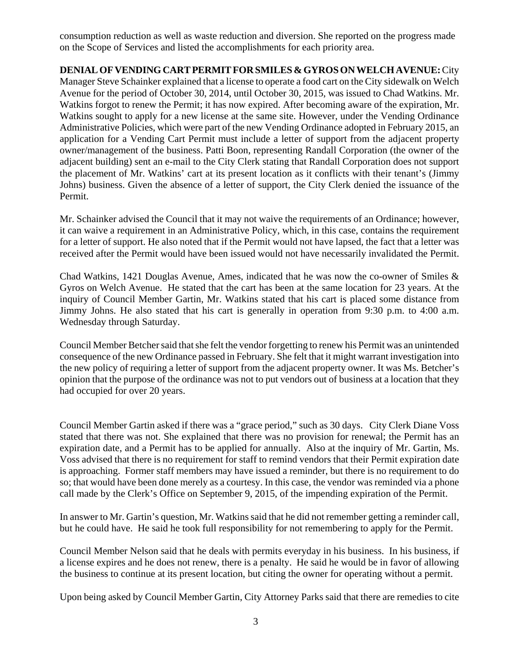consumption reduction as well as waste reduction and diversion. She reported on the progress made on the Scope of Services and listed the accomplishments for each priority area.

## **DENIAL OF VENDING CART PERMIT FOR SMILES & GYROS ON WELCH AVENUE:** City

Manager Steve Schainker explained that a license to operate a food cart on the City sidewalk on Welch Avenue for the period of October 30, 2014, until October 30, 2015, was issued to Chad Watkins. Mr. Watkins forgot to renew the Permit; it has now expired. After becoming aware of the expiration, Mr. Watkins sought to apply for a new license at the same site. However, under the Vending Ordinance Administrative Policies, which were part of the new Vending Ordinance adopted in February 2015, an application for a Vending Cart Permit must include a letter of support from the adjacent property owner/management of the business. Patti Boon, representing Randall Corporation (the owner of the adjacent building) sent an e-mail to the City Clerk stating that Randall Corporation does not support the placement of Mr. Watkins' cart at its present location as it conflicts with their tenant's (Jimmy Johns) business. Given the absence of a letter of support, the City Clerk denied the issuance of the Permit.

Mr. Schainker advised the Council that it may not waive the requirements of an Ordinance; however, it can waive a requirement in an Administrative Policy, which, in this case, contains the requirement for a letter of support. He also noted that if the Permit would not have lapsed, the fact that a letter was received after the Permit would have been issued would not have necessarily invalidated the Permit.

Chad Watkins, 1421 Douglas Avenue, Ames, indicated that he was now the co-owner of Smiles & Gyros on Welch Avenue. He stated that the cart has been at the same location for 23 years. At the inquiry of Council Member Gartin, Mr. Watkins stated that his cart is placed some distance from Jimmy Johns. He also stated that his cart is generally in operation from 9:30 p.m. to 4:00 a.m. Wednesday through Saturday.

Council Member Betcher said that she felt the vendor forgetting to renew his Permit was an unintended consequence of the new Ordinance passed in February. She felt that it might warrant investigation into the new policy of requiring a letter of support from the adjacent property owner. It was Ms. Betcher's opinion that the purpose of the ordinance was not to put vendors out of business at a location that they had occupied for over 20 years.

Council Member Gartin asked if there was a "grace period," such as 30 days. City Clerk Diane Voss stated that there was not. She explained that there was no provision for renewal; the Permit has an expiration date, and a Permit has to be applied for annually. Also at the inquiry of Mr. Gartin, Ms. Voss advised that there is no requirement for staff to remind vendors that their Permit expiration date is approaching. Former staff members may have issued a reminder, but there is no requirement to do so; that would have been done merely as a courtesy. In this case, the vendor was reminded via a phone call made by the Clerk's Office on September 9, 2015, of the impending expiration of the Permit.

In answer to Mr. Gartin's question, Mr. Watkins said that he did not remember getting a reminder call, but he could have. He said he took full responsibility for not remembering to apply for the Permit.

Council Member Nelson said that he deals with permits everyday in his business. In his business, if a license expires and he does not renew, there is a penalty. He said he would be in favor of allowing the business to continue at its present location, but citing the owner for operating without a permit.

Upon being asked by Council Member Gartin, City Attorney Parks said that there are remedies to cite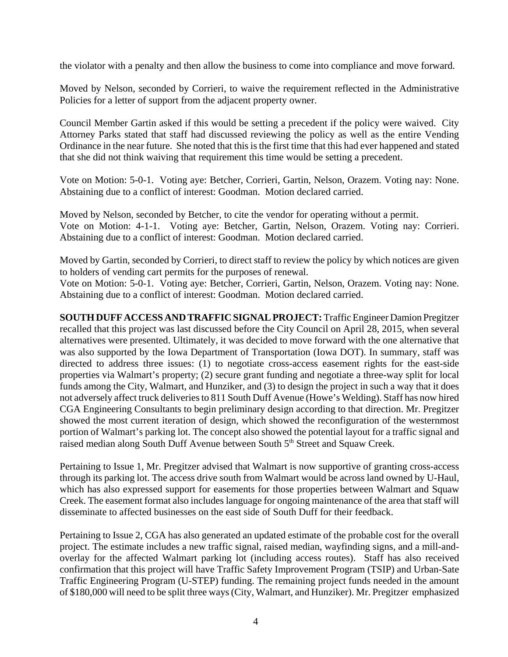the violator with a penalty and then allow the business to come into compliance and move forward.

Moved by Nelson, seconded by Corrieri, to waive the requirement reflected in the Administrative Policies for a letter of support from the adjacent property owner.

Council Member Gartin asked if this would be setting a precedent if the policy were waived. City Attorney Parks stated that staff had discussed reviewing the policy as well as the entire Vending Ordinance in the near future. She noted that this is the first time that this had ever happened and stated that she did not think waiving that requirement this time would be setting a precedent.

Vote on Motion: 5-0-1. Voting aye: Betcher, Corrieri, Gartin, Nelson, Orazem. Voting nay: None. Abstaining due to a conflict of interest: Goodman. Motion declared carried.

Moved by Nelson, seconded by Betcher, to cite the vendor for operating without a permit. Vote on Motion: 4-1-1. Voting aye: Betcher, Gartin, Nelson, Orazem. Voting nay: Corrieri. Abstaining due to a conflict of interest: Goodman. Motion declared carried.

Moved by Gartin, seconded by Corrieri, to direct staff to review the policy by which notices are given to holders of vending cart permits for the purposes of renewal.

Vote on Motion: 5-0-1. Voting aye: Betcher, Corrieri, Gartin, Nelson, Orazem. Voting nay: None. Abstaining due to a conflict of interest: Goodman. Motion declared carried.

**SOUTH DUFF ACCESS AND TRAFFIC SIGNAL PROJECT:** Traffic Engineer Damion Pregitzer recalled that this project was last discussed before the City Council on April 28, 2015, when several alternatives were presented. Ultimately, it was decided to move forward with the one alternative that was also supported by the Iowa Department of Transportation (Iowa DOT). In summary, staff was directed to address three issues: (1) to negotiate cross-access easement rights for the east-side properties via Walmart's property; (2) secure grant funding and negotiate a three-way split for local funds among the City, Walmart, and Hunziker, and (3) to design the project in such a way that it does not adversely affect truck deliveries to 811 South Duff Avenue (Howe's Welding). Staff has now hired CGA Engineering Consultants to begin preliminary design according to that direction. Mr. Pregitzer showed the most current iteration of design, which showed the reconfiguration of the westernmost portion of Walmart's parking lot. The concept also showed the potential layout for a traffic signal and raised median along South Duff Avenue between South 5<sup>th</sup> Street and Squaw Creek.

Pertaining to Issue 1, Mr. Pregitzer advised that Walmart is now supportive of granting cross-access through its parking lot. The access drive south from Walmart would be across land owned by U-Haul, which has also expressed support for easements for those properties between Walmart and Squaw Creek. The easement format also includes language for ongoing maintenance of the area that staff will disseminate to affected businesses on the east side of South Duff for their feedback.

Pertaining to Issue 2, CGA has also generated an updated estimate of the probable cost for the overall project. The estimate includes a new traffic signal, raised median, wayfinding signs, and a mill-andoverlay for the affected Walmart parking lot (including access routes). Staff has also received confirmation that this project will have Traffic Safety Improvement Program (TSIP) and Urban-Sate Traffic Engineering Program (U-STEP) funding. The remaining project funds needed in the amount of \$180,000 will need to be split three ways (City, Walmart, and Hunziker). Mr. Pregitzer emphasized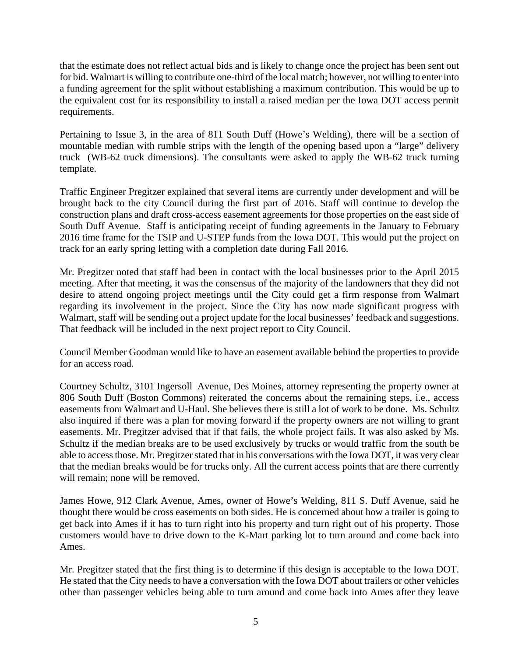that the estimate does not reflect actual bids and is likely to change once the project has been sent out for bid. Walmart is willing to contribute one-third of the local match; however, not willing to enter into a funding agreement for the split without establishing a maximum contribution. This would be up to the equivalent cost for its responsibility to install a raised median per the Iowa DOT access permit requirements.

Pertaining to Issue 3, in the area of 811 South Duff (Howe's Welding), there will be a section of mountable median with rumble strips with the length of the opening based upon a "large" delivery truck (WB-62 truck dimensions). The consultants were asked to apply the WB-62 truck turning template.

Traffic Engineer Pregitzer explained that several items are currently under development and will be brought back to the city Council during the first part of 2016. Staff will continue to develop the construction plans and draft cross-access easement agreements for those properties on the east side of South Duff Avenue. Staff is anticipating receipt of funding agreements in the January to February 2016 time frame for the TSIP and U-STEP funds from the Iowa DOT. This would put the project on track for an early spring letting with a completion date during Fall 2016.

Mr. Pregitzer noted that staff had been in contact with the local businesses prior to the April 2015 meeting. After that meeting, it was the consensus of the majority of the landowners that they did not desire to attend ongoing project meetings until the City could get a firm response from Walmart regarding its involvement in the project. Since the City has now made significant progress with Walmart, staff will be sending out a project update for the local businesses' feedback and suggestions. That feedback will be included in the next project report to City Council.

Council Member Goodman would like to have an easement available behind the properties to provide for an access road.

Courtney Schultz, 3101 Ingersoll Avenue, Des Moines, attorney representing the property owner at 806 South Duff (Boston Commons) reiterated the concerns about the remaining steps, i.e., access easements from Walmart and U-Haul. She believes there is still a lot of work to be done. Ms. Schultz also inquired if there was a plan for moving forward if the property owners are not willing to grant easements. Mr. Pregitzer advised that if that fails, the whole project fails. It was also asked by Ms. Schultz if the median breaks are to be used exclusively by trucks or would traffic from the south be able to access those. Mr. Pregitzer stated that in his conversations with the Iowa DOT, it was very clear that the median breaks would be for trucks only. All the current access points that are there currently will remain; none will be removed.

James Howe, 912 Clark Avenue, Ames, owner of Howe's Welding, 811 S. Duff Avenue, said he thought there would be cross easements on both sides. He is concerned about how a trailer is going to get back into Ames if it has to turn right into his property and turn right out of his property. Those customers would have to drive down to the K-Mart parking lot to turn around and come back into Ames.

Mr. Pregitzer stated that the first thing is to determine if this design is acceptable to the Iowa DOT. He stated that the City needs to have a conversation with the Iowa DOT about trailers or other vehicles other than passenger vehicles being able to turn around and come back into Ames after they leave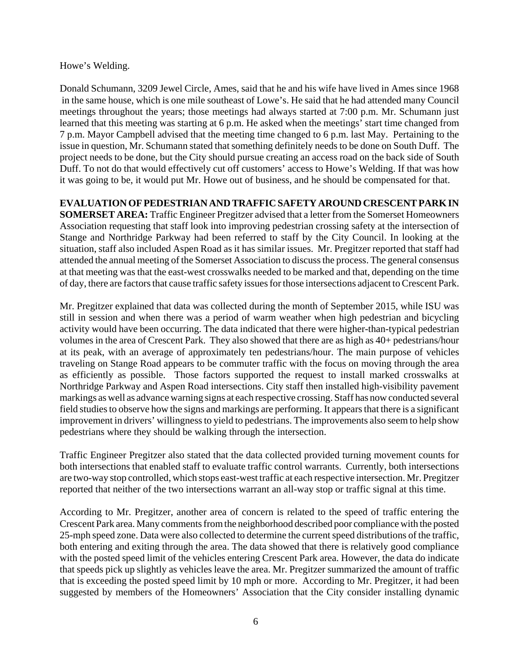Howe's Welding.

Donald Schumann, 3209 Jewel Circle, Ames, said that he and his wife have lived in Ames since 1968 in the same house, which is one mile southeast of Lowe's. He said that he had attended many Council meetings throughout the years; those meetings had always started at 7:00 p.m. Mr. Schumann just learned that this meeting was starting at 6 p.m. He asked when the meetings' start time changed from 7 p.m. Mayor Campbell advised that the meeting time changed to 6 p.m. last May. Pertaining to the issue in question, Mr. Schumann stated that something definitely needs to be done on South Duff. The project needs to be done, but the City should pursue creating an access road on the back side of South Duff. To not do that would effectively cut off customers' access to Howe's Welding. If that was how it was going to be, it would put Mr. Howe out of business, and he should be compensated for that.

# **EVALUATION OF PEDESTRIAN AND TRAFFIC SAFETY AROUND CRESCENT PARK IN**

**SOMERSET AREA:** Traffic Engineer Pregitzer advised that a letter from the Somerset Homeowners Association requesting that staff look into improving pedestrian crossing safety at the intersection of Stange and Northridge Parkway had been referred to staff by the City Council. In looking at the situation, staff also included Aspen Road as it has similar issues. Mr. Pregitzer reported that staff had attended the annual meeting of the Somerset Association to discuss the process. The general consensus at that meeting was that the east-west crosswalks needed to be marked and that, depending on the time of day, there are factors that cause traffic safety issues for those intersections adjacent to Crescent Park.

Mr. Pregitzer explained that data was collected during the month of September 2015, while ISU was still in session and when there was a period of warm weather when high pedestrian and bicycling activity would have been occurring. The data indicated that there were higher-than-typical pedestrian volumes in the area of Crescent Park. They also showed that there are as high as 40+ pedestrians/hour at its peak, with an average of approximately ten pedestrians/hour. The main purpose of vehicles traveling on Stange Road appears to be commuter traffic with the focus on moving through the area as efficiently as possible. Those factors supported the request to install marked crosswalks at Northridge Parkway and Aspen Road intersections. City staff then installed high-visibility pavement markings as well as advance warning signs at each respective crossing. Staff has now conducted several field studies to observe how the signs and markings are performing. It appears that there is a significant improvement in drivers' willingness to yield to pedestrians. The improvements also seem to help show pedestrians where they should be walking through the intersection.

Traffic Engineer Pregitzer also stated that the data collected provided turning movement counts for both intersections that enabled staff to evaluate traffic control warrants. Currently, both intersections are two-way stop controlled, which stops east-west traffic at each respective intersection. Mr. Pregitzer reported that neither of the two intersections warrant an all-way stop or traffic signal at this time.

According to Mr. Pregitzer, another area of concern is related to the speed of traffic entering the Crescent Park area. Many comments from the neighborhood described poor compliance with the posted 25-mph speed zone. Data were also collected to determine the current speed distributions of the traffic, both entering and exiting through the area. The data showed that there is relatively good compliance with the posted speed limit of the vehicles entering Crescent Park area. However, the data do indicate that speeds pick up slightly as vehicles leave the area. Mr. Pregitzer summarized the amount of traffic that is exceeding the posted speed limit by 10 mph or more. According to Mr. Pregitzer, it had been suggested by members of the Homeowners' Association that the City consider installing dynamic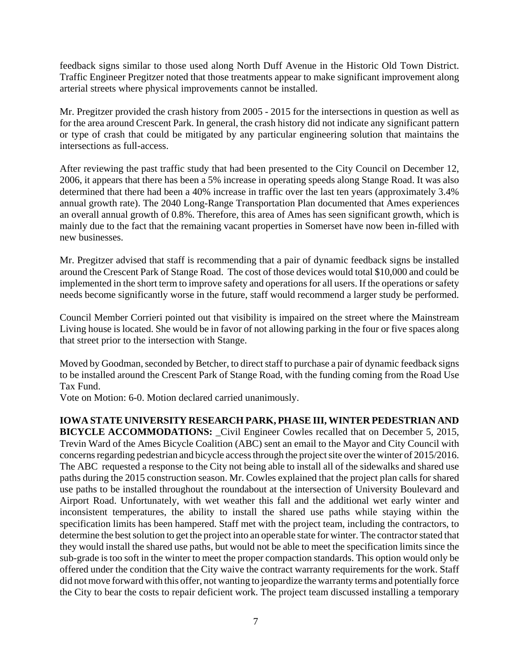feedback signs similar to those used along North Duff Avenue in the Historic Old Town District. Traffic Engineer Pregitzer noted that those treatments appear to make significant improvement along arterial streets where physical improvements cannot be installed.

Mr. Pregitzer provided the crash history from 2005 - 2015 for the intersections in question as well as for the area around Crescent Park. In general, the crash history did not indicate any significant pattern or type of crash that could be mitigated by any particular engineering solution that maintains the intersections as full-access.

After reviewing the past traffic study that had been presented to the City Council on December 12, 2006, it appears that there has been a 5% increase in operating speeds along Stange Road. It was also determined that there had been a 40% increase in traffic over the last ten years (approximately 3.4% annual growth rate). The 2040 Long-Range Transportation Plan documented that Ames experiences an overall annual growth of 0.8%. Therefore, this area of Ames has seen significant growth, which is mainly due to the fact that the remaining vacant properties in Somerset have now been in-filled with new businesses.

Mr. Pregitzer advised that staff is recommending that a pair of dynamic feedback signs be installed around the Crescent Park of Stange Road. The cost of those devices would total \$10,000 and could be implemented in the short term to improve safety and operations for all users. If the operations or safety needs become significantly worse in the future, staff would recommend a larger study be performed.

Council Member Corrieri pointed out that visibility is impaired on the street where the Mainstream Living house is located. She would be in favor of not allowing parking in the four or five spaces along that street prior to the intersection with Stange.

Moved by Goodman, seconded by Betcher, to direct staff to purchase a pair of dynamic feedback signs to be installed around the Crescent Park of Stange Road, with the funding coming from the Road Use Tax Fund.

Vote on Motion: 6-0. Motion declared carried unanimously.

## **IOWA STATE UNIVERSITY RESEARCH PARK, PHASE III, WINTER PEDESTRIAN AND**

**BICYCLE ACCOMMODATIONS:** \_Civil Engineer Cowles recalled that on December 5, 2015, Trevin Ward of the Ames Bicycle Coalition (ABC) sent an email to the Mayor and City Council with concerns regarding pedestrian and bicycle access through the project site over the winter of 2015/2016. The ABC requested a response to the City not being able to install all of the sidewalks and shared use paths during the 2015 construction season. Mr. Cowles explained that the project plan calls for shared use paths to be installed throughout the roundabout at the intersection of University Boulevard and Airport Road. Unfortunately, with wet weather this fall and the additional wet early winter and inconsistent temperatures, the ability to install the shared use paths while staying within the specification limits has been hampered. Staff met with the project team, including the contractors, to determine the best solution to get the project into an operable state for winter. The contractor stated that they would install the shared use paths, but would not be able to meet the specification limits since the sub-grade is too soft in the winter to meet the proper compaction standards. This option would only be offered under the condition that the City waive the contract warranty requirements for the work. Staff did not move forward with this offer, not wanting to jeopardize the warranty terms and potentially force the City to bear the costs to repair deficient work. The project team discussed installing a temporary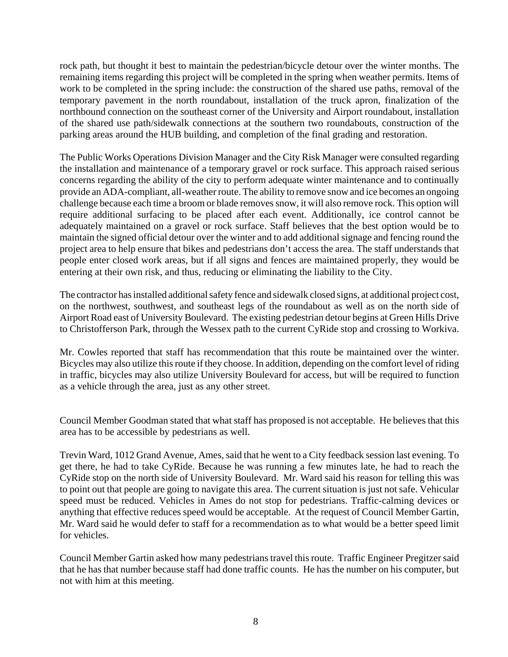rock path, but thought it best to maintain the pedestrian/bicycle detour over the winter months. The remaining items regarding this project will be completed in the spring when weather permits. Items of work to be completed in the spring include: the construction of the shared use paths, removal of the temporary pavement in the north roundabout, installation of the truck apron, finalization of the northbound connection on the southeast corner of the University and Airport roundabout, installation of the shared use path/sidewalk connections at the southern two roundabouts, construction of the parking areas around the HUB building, and completion of the final grading and restoration.

The Public Works Operations Division Manager and the City Risk Manager were consulted regarding the installation and maintenance of a temporary gravel or rock surface. This approach raised serious concerns regarding the ability of the city to perform adequate winter maintenance and to continually provide an ADA-compliant, all-weather route. The ability to remove snow and ice becomes an ongoing challenge because each time a broom or blade removes snow, it will also remove rock. This option will require additional surfacing to be placed after each event. Additionally, ice control cannot be adequately maintained on a gravel or rock surface. Staff believes that the best option would be to maintain the signed official detour over the winter and to add additional signage and fencing round the project area to help ensure that bikes and pedestrians don't access the area. The staff understands that people enter closed work areas, but if all signs and fences are maintained properly, they would be entering at their own risk, and thus, reducing or eliminating the liability to the City.

The contractor has installed additional safety fence and sidewalk closed signs, at additional project cost, on the northwest, southwest, and southeast legs of the roundabout as well as on the north side of Airport Road east of University Boulevard. The existing pedestrian detour begins at Green Hills Drive to Christofferson Park, through the Wessex path to the current CyRide stop and crossing to Workiva.

Mr. Cowles reported that staff has recommendation that this route be maintained over the winter. Bicycles may also utilize this route if they choose. In addition, depending on the comfort level of riding in traffic, bicycles may also utilize University Boulevard for access, but will be required to function as a vehicle through the area, just as any other street.

Council Member Goodman stated that what staff has proposed is not acceptable. He believes that this area has to be accessible by pedestrians as well.

Trevin Ward, 1012 Grand Avenue, Ames, said that he went to a City feedback session last evening. To get there, he had to take CyRide. Because he was running a few minutes late, he had to reach the CyRide stop on the north side of University Boulevard. Mr. Ward said his reason for telling this was to point out that people are going to navigate this area. The current situation is just not safe. Vehicular speed must be reduced. Vehicles in Ames do not stop for pedestrians. Traffic-calming devices or anything that effective reduces speed would be acceptable. At the request of Council Member Gartin, Mr. Ward said he would defer to staff for a recommendation as to what would be a better speed limit for vehicles.

Council Member Gartin asked how many pedestrians travel this route. Traffic Engineer Pregitzer said that he has that number because staff had done traffic counts. He has the number on his computer, but not with him at this meeting.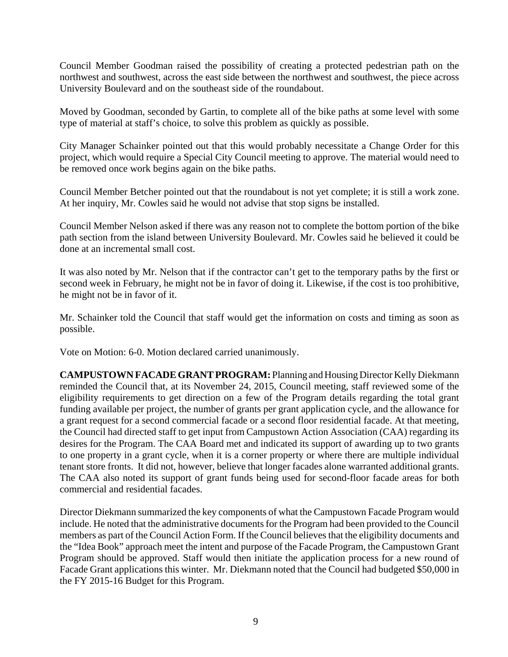Council Member Goodman raised the possibility of creating a protected pedestrian path on the northwest and southwest, across the east side between the northwest and southwest, the piece across University Boulevard and on the southeast side of the roundabout.

Moved by Goodman, seconded by Gartin, to complete all of the bike paths at some level with some type of material at staff's choice, to solve this problem as quickly as possible.

City Manager Schainker pointed out that this would probably necessitate a Change Order for this project, which would require a Special City Council meeting to approve. The material would need to be removed once work begins again on the bike paths.

Council Member Betcher pointed out that the roundabout is not yet complete; it is still a work zone. At her inquiry, Mr. Cowles said he would not advise that stop signs be installed.

Council Member Nelson asked if there was any reason not to complete the bottom portion of the bike path section from the island between University Boulevard. Mr. Cowles said he believed it could be done at an incremental small cost.

It was also noted by Mr. Nelson that if the contractor can't get to the temporary paths by the first or second week in February, he might not be in favor of doing it. Likewise, if the cost is too prohibitive, he might not be in favor of it.

Mr. Schainker told the Council that staff would get the information on costs and timing as soon as possible.

Vote on Motion: 6-0. Motion declared carried unanimously.

**CAMPUSTOWN FACADE GRANT PROGRAM:** Planning and Housing Director Kelly Diekmann reminded the Council that, at its November 24, 2015, Council meeting, staff reviewed some of the eligibility requirements to get direction on a few of the Program details regarding the total grant funding available per project, the number of grants per grant application cycle, and the allowance for a grant request for a second commercial facade or a second floor residential facade. At that meeting, the Council had directed staff to get input from Campustown Action Association (CAA) regarding its desires for the Program. The CAA Board met and indicated its support of awarding up to two grants to one property in a grant cycle, when it is a corner property or where there are multiple individual tenant store fronts. It did not, however, believe that longer facades alone warranted additional grants. The CAA also noted its support of grant funds being used for second-floor facade areas for both commercial and residential facades.

Director Diekmann summarized the key components of what the Campustown Facade Program would include. He noted that the administrative documents for the Program had been provided to the Council members as part of the Council Action Form. If the Council believes that the eligibility documents and the "Idea Book" approach meet the intent and purpose of the Facade Program, the Campustown Grant Program should be approved. Staff would then initiate the application process for a new round of Facade Grant applications this winter. Mr. Diekmann noted that the Council had budgeted \$50,000 in the FY 2015-16 Budget for this Program.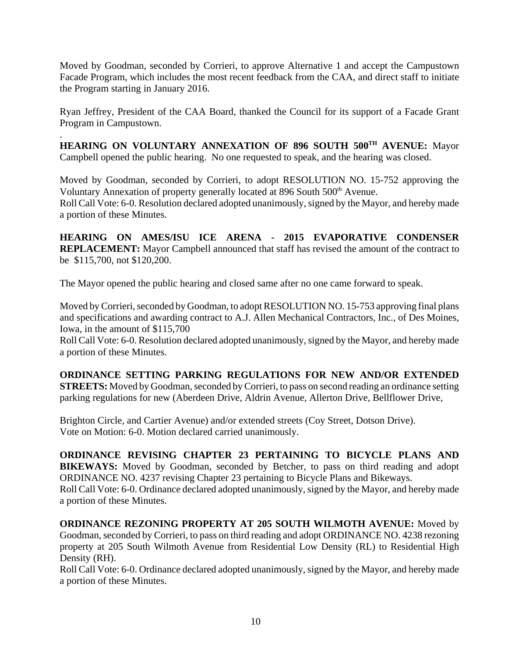Moved by Goodman, seconded by Corrieri, to approve Alternative 1 and accept the Campustown Facade Program, which includes the most recent feedback from the CAA, and direct staff to initiate the Program starting in January 2016.

Ryan Jeffrey, President of the CAA Board, thanked the Council for its support of a Facade Grant Program in Campustown.

. **HEARING ON VOLUNTARY ANNEXATION OF 896 SOUTH 500<sup>TH</sup> AVENUE: Mayor** Campbell opened the public hearing. No one requested to speak, and the hearing was closed.

Moved by Goodman, seconded by Corrieri, to adopt RESOLUTION NO. 15-752 approving the Voluntary Annexation of property generally located at 896 South 500<sup>th</sup> Avenue. Roll Call Vote: 6-0. Resolution declared adopted unanimously, signed by the Mayor, and hereby made a portion of these Minutes.

**HEARING ON AMES/ISU ICE ARENA - 2015 EVAPORATIVE CONDENSER REPLACEMENT:** Mayor Campbell announced that staff has revised the amount of the contract to be \$115,700, not \$120,200.

The Mayor opened the public hearing and closed same after no one came forward to speak.

Moved by Corrieri, seconded by Goodman, to adopt RESOLUTION NO. 15-753 approving final plans and specifications and awarding contract to A.J. Allen Mechanical Contractors, Inc., of Des Moines, Iowa, in the amount of \$115,700

Roll Call Vote: 6-0. Resolution declared adopted unanimously, signed by the Mayor, and hereby made a portion of these Minutes.

**ORDINANCE SETTING PARKING REGULATIONS FOR NEW AND/OR EXTENDED STREETS:** Moved by Goodman, seconded by Corrieri, to pass on second reading an ordinance setting parking regulations for new (Aberdeen Drive, Aldrin Avenue, Allerton Drive, Bellflower Drive,

Brighton Circle, and Cartier Avenue) and/or extended streets (Coy Street, Dotson Drive). Vote on Motion: 6-0. Motion declared carried unanimously.

**ORDINANCE REVISING CHAPTER 23 PERTAINING TO BICYCLE PLANS AND BIKEWAYS:** Moved by Goodman, seconded by Betcher, to pass on third reading and adopt ORDINANCE NO. 4237 revising Chapter 23 pertaining to Bicycle Plans and Bikeways. Roll Call Vote: 6-0. Ordinance declared adopted unanimously, signed by the Mayor, and hereby made a portion of these Minutes.

**ORDINANCE REZONING PROPERTY AT 205 SOUTH WILMOTH AVENUE:** Moved by Goodman, seconded by Corrieri, to pass on third reading and adopt ORDINANCE NO. 4238 rezoning property at 205 South Wilmoth Avenue from Residential Low Density (RL) to Residential High Density (RH).

Roll Call Vote: 6-0. Ordinance declared adopted unanimously, signed by the Mayor, and hereby made a portion of these Minutes.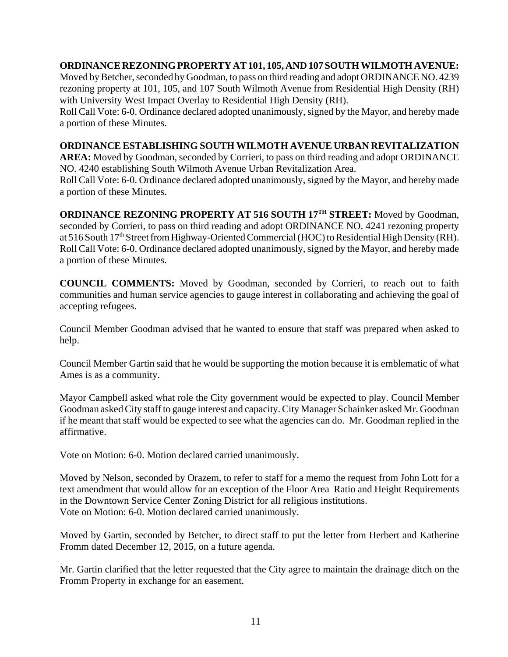# **ORDINANCE REZONING PROPERTY AT 101, 105, AND 107 SOUTH WILMOTH AVENUE:**

Moved by Betcher, seconded by Goodman, to pass on third reading and adopt ORDINANCE NO. 4239 rezoning property at 101, 105, and 107 South Wilmoth Avenue from Residential High Density (RH) with University West Impact Overlay to Residential High Density (RH).

Roll Call Vote: 6-0. Ordinance declared adopted unanimously, signed by the Mayor, and hereby made a portion of these Minutes.

# **ORDINANCE ESTABLISHING SOUTH WILMOTH AVENUE URBAN REVITALIZATION**

**AREA:** Moved by Goodman, seconded by Corrieri, to pass on third reading and adopt ORDINANCE NO. 4240 establishing South Wilmoth Avenue Urban Revitalization Area.

Roll Call Vote: 6-0. Ordinance declared adopted unanimously, signed by the Mayor, and hereby made a portion of these Minutes.

**ORDINANCE REZONING PROPERTY AT 516 SOUTH 17TH STREET:** Moved by Goodman, seconded by Corrieri, to pass on third reading and adopt ORDINANCE NO. 4241 rezoning property at 516 South 17<sup>th</sup> Street from Highway-Oriented Commercial (HOC) to Residential High Density (RH). Roll Call Vote: 6-0. Ordinance declared adopted unanimously, signed by the Mayor, and hereby made a portion of these Minutes.

**COUNCIL COMMENTS:** Moved by Goodman, seconded by Corrieri, to reach out to faith communities and human service agencies to gauge interest in collaborating and achieving the goal of accepting refugees.

Council Member Goodman advised that he wanted to ensure that staff was prepared when asked to help.

Council Member Gartin said that he would be supporting the motion because it is emblematic of what Ames is as a community.

Mayor Campbell asked what role the City government would be expected to play. Council Member Goodman asked City staff to gauge interest and capacity. City Manager Schainker asked Mr. Goodman if he meant that staff would be expected to see what the agencies can do. Mr. Goodman replied in the affirmative.

Vote on Motion: 6-0. Motion declared carried unanimously.

Moved by Nelson, seconded by Orazem, to refer to staff for a memo the request from John Lott for a text amendment that would allow for an exception of the Floor Area Ratio and Height Requirements in the Downtown Service Center Zoning District for all religious institutions. Vote on Motion: 6-0. Motion declared carried unanimously.

Moved by Gartin, seconded by Betcher, to direct staff to put the letter from Herbert and Katherine Fromm dated December 12, 2015, on a future agenda.

Mr. Gartin clarified that the letter requested that the City agree to maintain the drainage ditch on the Fromm Property in exchange for an easement.